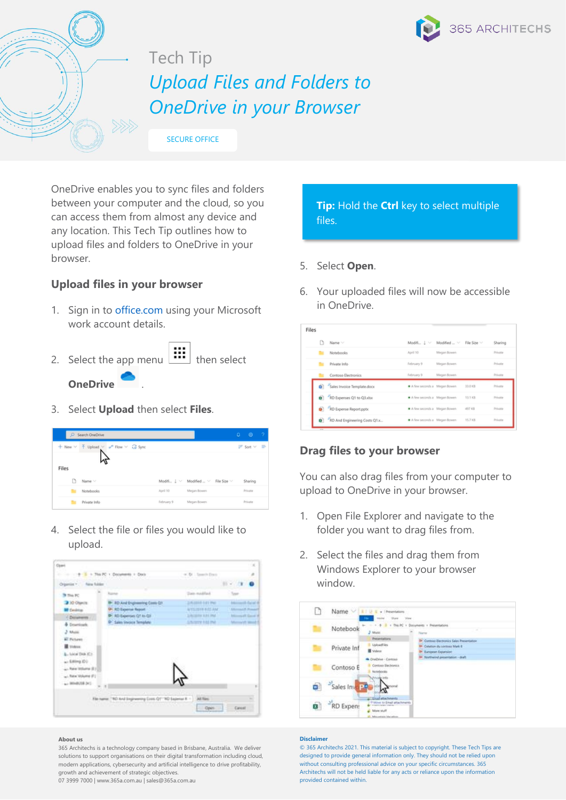

# [Tech Tip](https://365a.com.au/tag/tech-tip/) *Upload Files and Folders to OneDrive in your Browser*

SECURE OFFICE

OneDrive enables you to sync files and folders between your computer and the cloud, so you can access them from almost any device and any location. This Tech Tip outlines how to upload files and folders to OneDrive in your browser.

## **Upload files in your browser**

- 1. Sign in to [office.com](https://www.office.com/) using your Microsoft work account details.
- 2. Select the app menu  $\begin{bmatrix} \cdots \\ \cdots \end{bmatrix}$  then select **OneDrive** .
- 3. Select **Upload** then select **Files**.

|                | C Search OneDrive           |            |                                    | ٥ | $^{\circ}$             | - 2 |
|----------------|-----------------------------|------------|------------------------------------|---|------------------------|-----|
| $+$ New $\vee$ | T Upload v of Flow v G Sync |            |                                    |   | $IF$ Sort $V$ $\equiv$ |     |
| Files<br>D     | Name ~                      |            | Modifi J V Modified  V File Size V |   | Sharing                |     |
|                | Notebooks                   | April 10   | Megan Bowen                        |   | Private                |     |
|                | Private Info                | February 9 | Megan Bowen                        |   | Private                |     |

4. Select the file or files you would like to upload.



#### **About us**

365 Architechs is a technology company based in Brisbane, Australia. We deliver solutions to support organisations on their digital transformation including cloud, modern applications, cybersecurity and artificial intelligence to drive profitability, growth and achievement of strategic objectives.

07 3999 7000 | www.365a.com.au | sales@365a.com.au

# **Tip:** Hold the **Ctrl** key to select multiple files.

## 5. Select **Open**.

6. Your uploaded files will now be accessible in OneDrive.

| Name ~                       | Modifi Į v                  | Modified  v | File Size ~ | Sharing |
|------------------------------|-----------------------------|-------------|-------------|---------|
| Notebooks                    | April 10                    | Megan Bowen |             | Private |
| Private Info                 | February 9                  | Megan Bowen |             | Private |
| Contoso Electronics          | February 9                  | Megan Bowen |             | Private |
| Sales Invoice Template.docx  | A few seconds a Megan Bowen |             | 33.0 KB     | Private |
| RD Expenses Q1 to Q3.xlsx    | A few seconds a Megan Bowen |             | 13.1 KB     | Private |
| RD Expense Report.pptx       | A few seconds a Megan Bowen |             | 497 KB      | Private |
| RD And Engineering Costs Q1x | A few seconds a Megan Bowen |             | 15.7 KB     | Private |

# **Drag files to your browser**

You can also drag files from your computer to upload to OneDrive in your browser.

- 1. Open File Explorer and navigate to the folder you want to drag files from.
- 2. Select the files and drag them from Windows Explorer to your browser window.

| Name V           | v 1 Presentations<br>まま味ま<br>Weller                                                            |                                                                                                                                                               |
|------------------|------------------------------------------------------------------------------------------------|---------------------------------------------------------------------------------------------------------------------------------------------------------------|
| Notebook         | ÷<br>2 Marie                                                                                   | This PC + Documents + Presentations<br><b>Teacher</b>                                                                                                         |
| Private Inf      | <b>Presentations</b><br>UploadFiles<br><b>图 Videos</b>                                         | Di- Contogo Electronics Sales Presentation<br><b>IP: Crivilium du continua Mark E</b><br><b>UI</b> European Expansion<br>The Assettenced presentation - draft |
| Contoso E        | DIADINE - Contrasi<br>Contoso Electronics<br>hamsbooks                                         |                                                                                                                                                               |
| Sales Inver<br>۵ |                                                                                                |                                                                                                                                                               |
| RD Expens        | Thursday has been end as<br>7 Mind to Email attachments<br>More stuff<br><b>Abundan Mandon</b> |                                                                                                                                                               |

#### **Disclaimer**

© 365 Architechs 2021. This material is subject to copyright. These Tech Tips are designed to provide general information only. They should not be relied upon without consulting professional advice on your specific circumstances. 365 Architechs will not be held liable for any acts or reliance upon the information provided contained within.